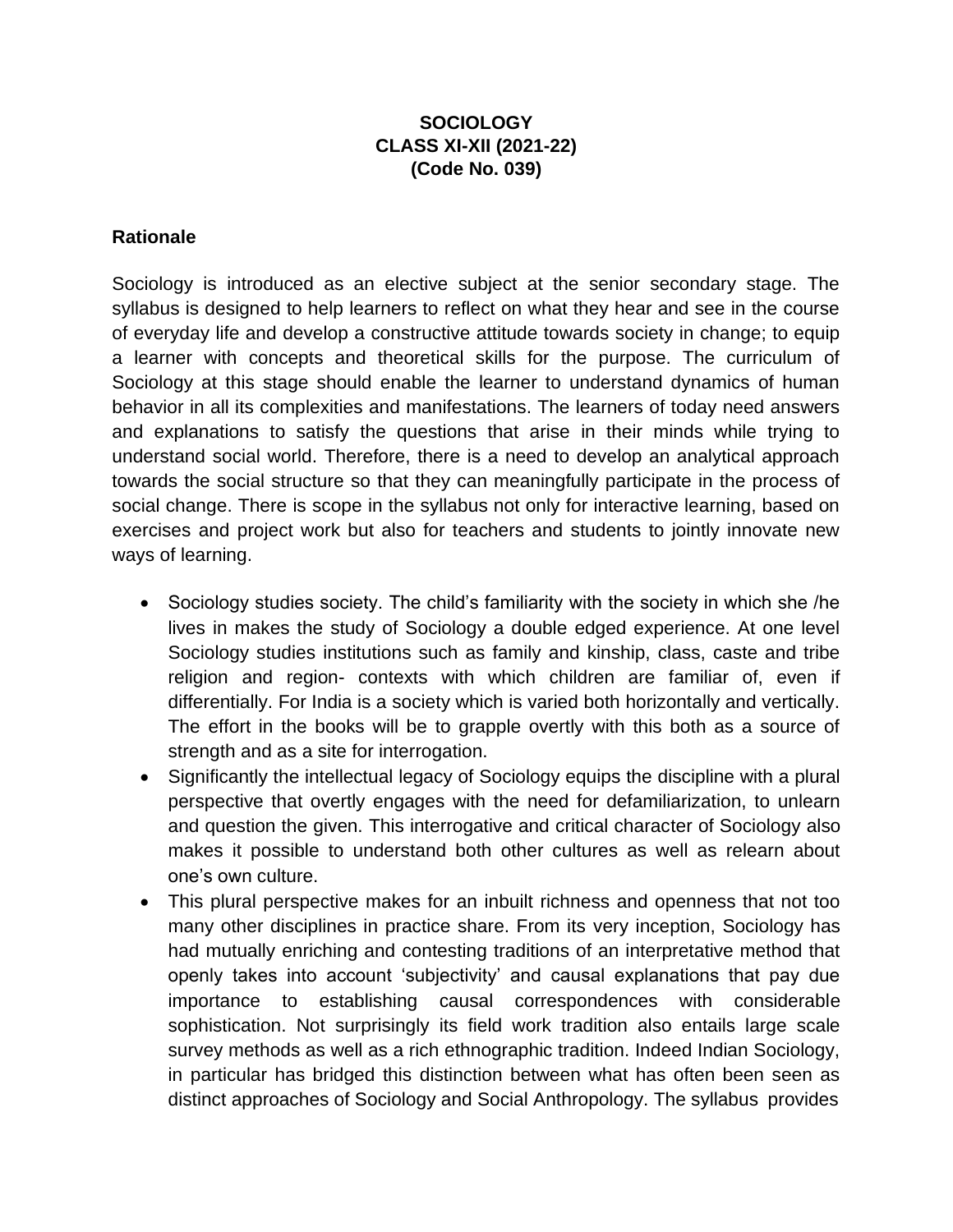### **SOCIOLOGY CLASS XI-XII (2021-22) (Code No. 039)**

#### **Rationale**

Sociology is introduced as an elective subject at the senior secondary stage. The syllabus is designed to help learners to reflect on what they hear and see in the course of everyday life and develop a constructive attitude towards society in change; to equip a learner with concepts and theoretical skills for the purpose. The curriculum of Sociology at this stage should enable the learner to understand dynamics of human behavior in all its complexities and manifestations. The learners of today need answers and explanations to satisfy the questions that arise in their minds while trying to understand social world. Therefore, there is a need to develop an analytical approach towards the social structure so that they can meaningfully participate in the process of social change. There is scope in the syllabus not only for interactive learning, based on exercises and project work but also for teachers and students to jointly innovate new ways of learning.

- Sociology studies society. The child's familiarity with the society in which she /he lives in makes the study of Sociology a double edged experience. At one level Sociology studies institutions such as family and kinship, class, caste and tribe religion and region- contexts with which children are familiar of, even if differentially. For India is a society which is varied both horizontally and vertically. The effort in the books will be to grapple overtly with this both as a source of strength and as a site for interrogation.
- Significantly the intellectual legacy of Sociology equips the discipline with a plural perspective that overtly engages with the need for defamiliarization, to unlearn and question the given. This interrogative and critical character of Sociology also makes it possible to understand both other cultures as well as relearn about one's own culture.
- This plural perspective makes for an inbuilt richness and openness that not too many other disciplines in practice share. From its very inception, Sociology has had mutually enriching and contesting traditions of an interpretative method that openly takes into account 'subjectivity' and causal explanations that pay due importance to establishing causal correspondences with considerable sophistication. Not surprisingly its field work tradition also entails large scale survey methods as well as a rich ethnographic tradition. Indeed Indian Sociology, in particular has bridged this distinction between what has often been seen as distinct approaches of Sociology and Social Anthropology. The syllabus provides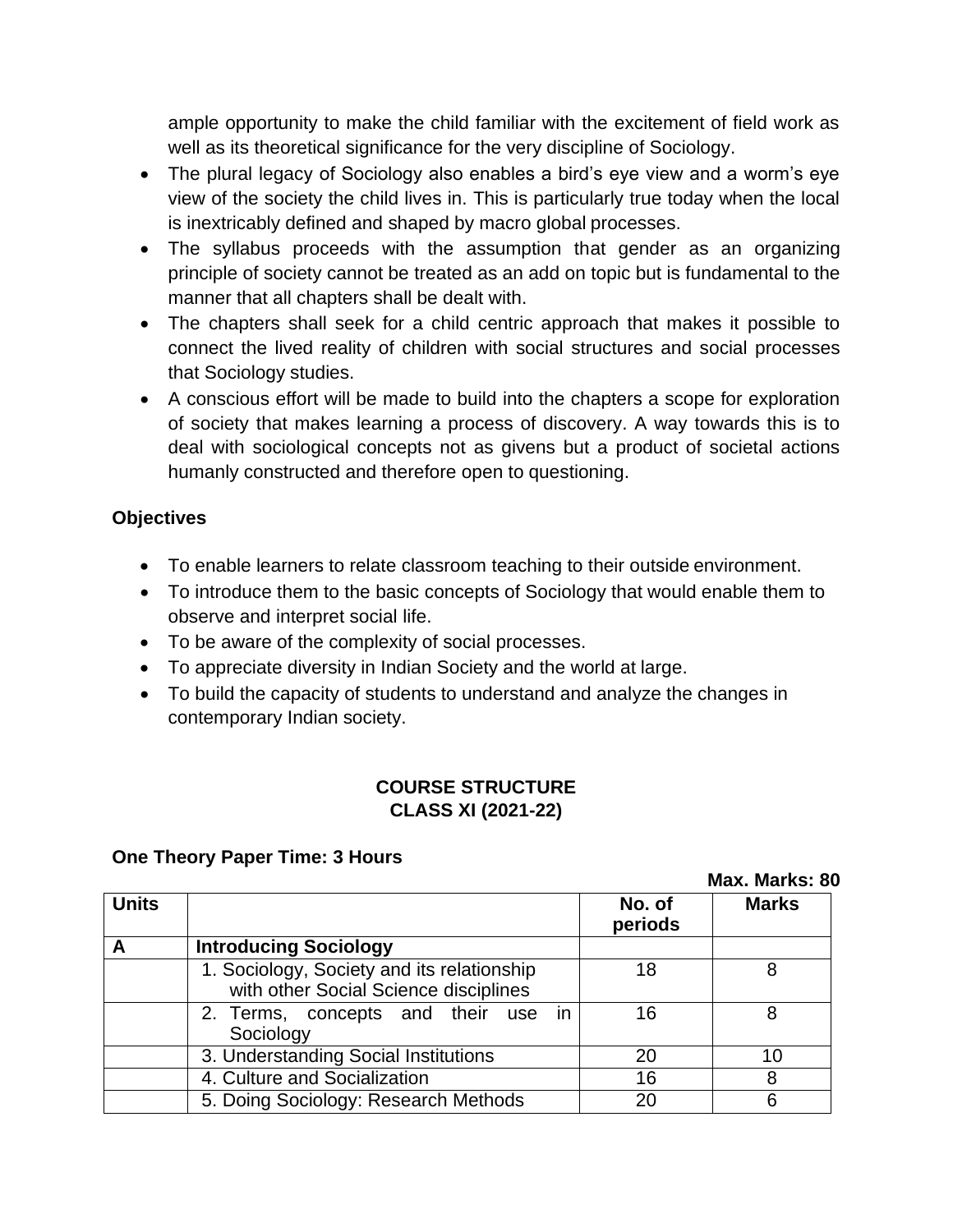ample opportunity to make the child familiar with the excitement of field work as well as its theoretical significance for the very discipline of Sociology.

- The plural legacy of Sociology also enables a bird's eye view and a worm's eye view of the society the child lives in. This is particularly true today when the local is inextricably defined and shaped by macro global processes.
- The syllabus proceeds with the assumption that gender as an organizing principle of society cannot be treated as an add on topic but is fundamental to the manner that all chapters shall be dealt with.
- The chapters shall seek for a child centric approach that makes it possible to connect the lived reality of children with social structures and social processes that Sociology studies.
- A conscious effort will be made to build into the chapters a scope for exploration of society that makes learning a process of discovery. A way towards this is to deal with sociological concepts not as givens but a product of societal actions humanly constructed and therefore open to questioning.

### **Objectives**

- To enable learners to relate classroom teaching to their outside environment.
- To introduce them to the basic concepts of Sociology that would enable them to observe and interpret social life.
- To be aware of the complexity of social processes.
- To appreciate diversity in Indian Society and the world at large.
- To build the capacity of students to understand and analyze the changes in contemporary Indian society.

### **COURSE STRUCTURE CLASS XI (2021-22)**

### **One Theory Paper Time: 3 Hours**

|              | iviax. Iviarks: ol                                                                  |                   |              |
|--------------|-------------------------------------------------------------------------------------|-------------------|--------------|
| <b>Units</b> |                                                                                     | No. of<br>periods | <b>Marks</b> |
| A            | <b>Introducing Sociology</b>                                                        |                   |              |
|              | 1. Sociology, Society and its relationship<br>with other Social Science disciplines | 18                | 8            |
|              | 2. Terms, concepts and their use in<br>Sociology                                    | 16                | 8            |
|              | 3. Understanding Social Institutions                                                | 20                | 10           |
|              | 4. Culture and Socialization                                                        | 16                | 8            |
|              | 5. Doing Sociology: Research Methods                                                | 20                | 6            |

**Max. Marks: 80**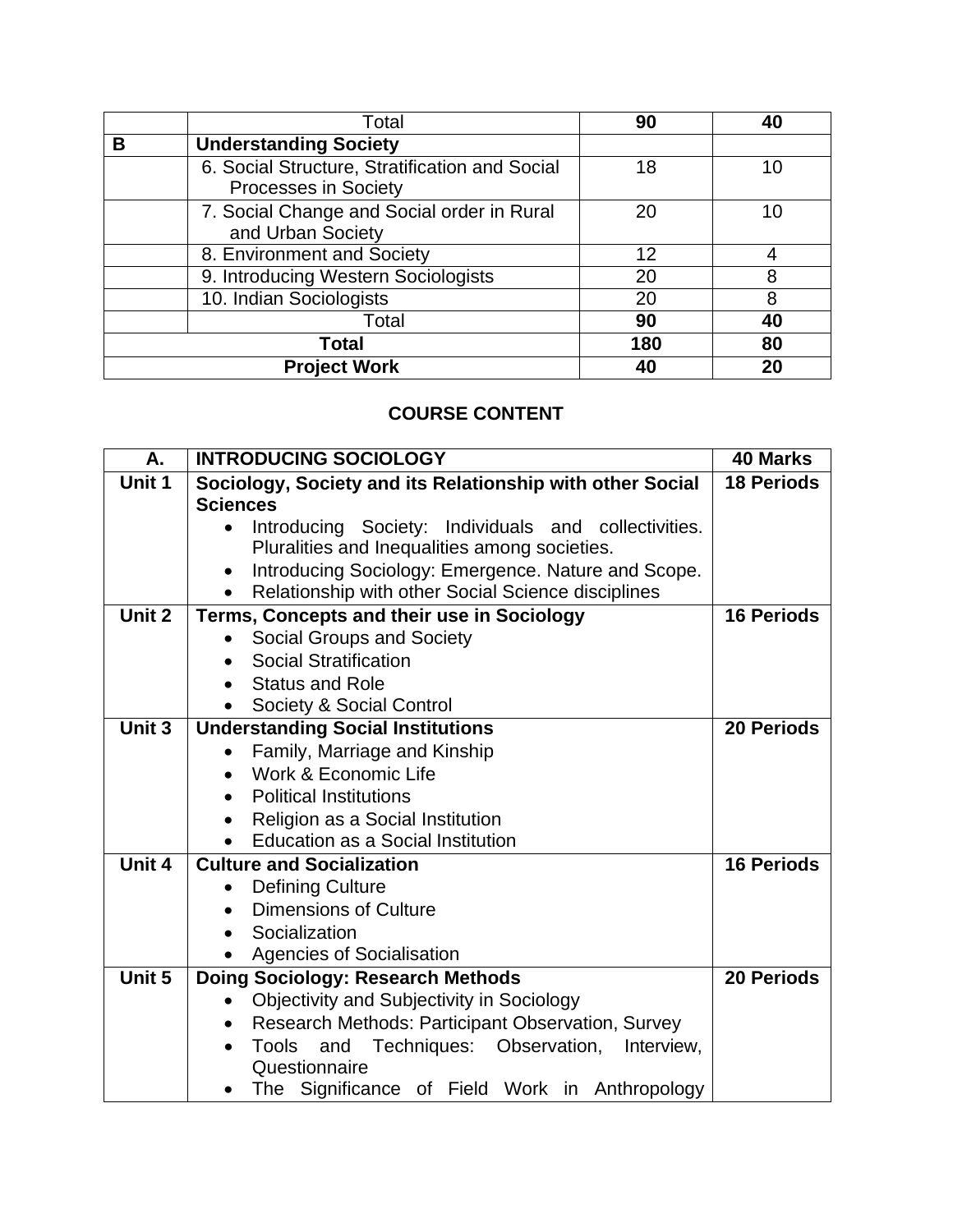|   | Total                                                                  | 90  | 40 |
|---|------------------------------------------------------------------------|-----|----|
| В | <b>Understanding Society</b>                                           |     |    |
|   | 6. Social Structure, Stratification and Social<br>Processes in Society | 18  | 10 |
|   | 7. Social Change and Social order in Rural<br>and Urban Society        | 20  | 10 |
|   | 8. Environment and Society                                             | 12  | 4  |
|   | 9. Introducing Western Sociologists                                    | 20  | 8  |
|   | 10. Indian Sociologists                                                | 20  | 8  |
|   | Total                                                                  | 90  | 40 |
|   | Total                                                                  | 180 | 80 |
|   | <b>Project Work</b>                                                    | 40  | 20 |

# **COURSE CONTENT**

| Α.     | <b>INTRODUCING SOCIOLOGY</b>                                     | <b>40 Marks</b>   |
|--------|------------------------------------------------------------------|-------------------|
| Unit 1 | Sociology, Society and its Relationship with other Social        | <b>18 Periods</b> |
|        | <b>Sciences</b>                                                  |                   |
|        | Introducing Society: Individuals and collectivities.             |                   |
|        | Pluralities and Inequalities among societies.                    |                   |
|        | Introducing Sociology: Emergence. Nature and Scope.              |                   |
|        | Relationship with other Social Science disciplines               |                   |
| Unit 2 | Terms, Concepts and their use in Sociology                       | <b>16 Periods</b> |
|        | Social Groups and Society                                        |                   |
|        | <b>Social Stratification</b>                                     |                   |
|        | <b>Status and Role</b>                                           |                   |
|        | Society & Social Control                                         |                   |
| Unit 3 | <b>Understanding Social Institutions</b>                         | 20 Periods        |
|        | Family, Marriage and Kinship                                     |                   |
|        | Work & Economic Life                                             |                   |
|        | <b>Political Institutions</b><br>$\bullet$                       |                   |
|        | Religion as a Social Institution                                 |                   |
|        | <b>Education as a Social Institution</b>                         |                   |
| Unit 4 | <b>Culture and Socialization</b>                                 | <b>16 Periods</b> |
|        | <b>Defining Culture</b>                                          |                   |
|        | <b>Dimensions of Culture</b>                                     |                   |
|        | Socialization                                                    |                   |
|        | <b>Agencies of Socialisation</b>                                 |                   |
| Unit 5 | Doing Sociology: Research Methods                                | <b>20 Periods</b> |
|        | Objectivity and Subjectivity in Sociology                        |                   |
|        | Research Methods: Participant Observation, Survey<br>$\bullet$   |                   |
|        | Techniques:<br>Observation,<br><b>Tools</b><br>and<br>Interview, |                   |
|        | Questionnaire                                                    |                   |
|        | The Significance of Field Work in Anthropology                   |                   |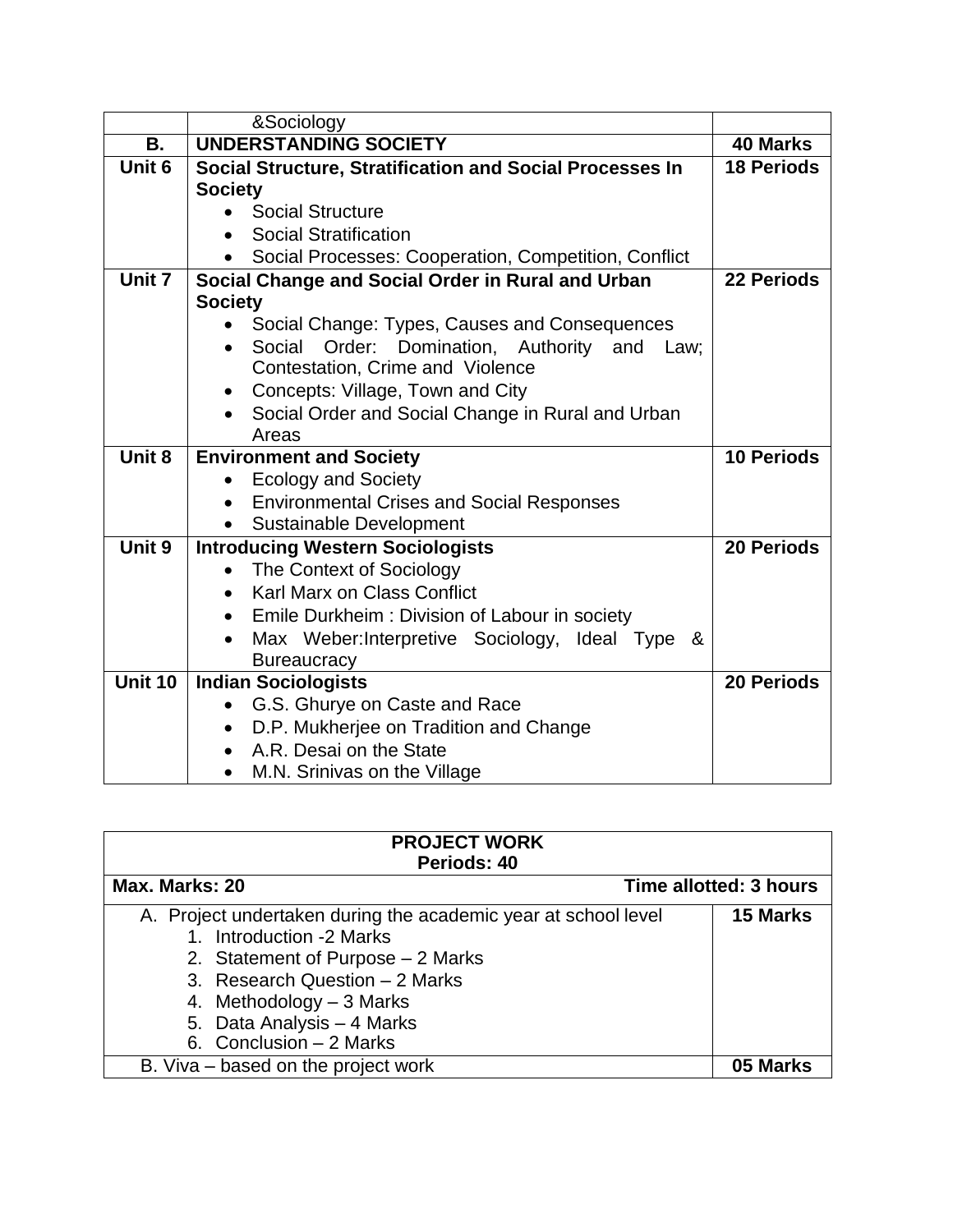|                   | &Sociology                                                    |                   |
|-------------------|---------------------------------------------------------------|-------------------|
| В.                | <b>UNDERSTANDING SOCIETY</b>                                  | 40 Marks          |
| Unit <sub>6</sub> | Social Structure, Stratification and Social Processes In      | <b>18 Periods</b> |
|                   | <b>Society</b>                                                |                   |
|                   | <b>Social Structure</b>                                       |                   |
|                   | <b>Social Stratification</b>                                  |                   |
|                   | Social Processes: Cooperation, Competition, Conflict          |                   |
| Unit 7            | Social Change and Social Order in Rural and Urban             | 22 Periods        |
|                   | <b>Society</b>                                                |                   |
|                   | Social Change: Types, Causes and Consequences                 |                   |
|                   | Social<br>Order:<br>Domination, Authority and<br>Law;         |                   |
|                   | Contestation, Crime and Violence                              |                   |
|                   | Concepts: Village, Town and City                              |                   |
|                   | Social Order and Social Change in Rural and Urban             |                   |
|                   | Areas                                                         |                   |
| Unit 8            | <b>Environment and Society</b>                                | <b>10 Periods</b> |
|                   | <b>Ecology and Society</b>                                    |                   |
|                   |                                                               |                   |
|                   | <b>Environmental Crises and Social Responses</b><br>$\bullet$ |                   |
|                   | <b>Sustainable Development</b>                                |                   |
| Unit 9            | <b>Introducing Western Sociologists</b>                       | <b>20 Periods</b> |
|                   | The Context of Sociology                                      |                   |
|                   | Karl Marx on Class Conflict                                   |                   |
|                   | Emile Durkheim: Division of Labour in society                 |                   |
|                   | Max Weber: Interpretive Sociology, Ideal Type &               |                   |
|                   | <b>Bureaucracy</b>                                            |                   |
| Unit 10           | <b>Indian Sociologists</b>                                    | <b>20 Periods</b> |
|                   | G.S. Ghurye on Caste and Race                                 |                   |
|                   | D.P. Mukherjee on Tradition and Change                        |                   |
|                   | A.R. Desai on the State<br>M.N. Srinivas on the Village       |                   |

| <b>PROJECT WORK</b><br>Periods: 40                                                                                                                                                                                                                      |                        |
|---------------------------------------------------------------------------------------------------------------------------------------------------------------------------------------------------------------------------------------------------------|------------------------|
| Max. Marks: 20                                                                                                                                                                                                                                          | Time allotted: 3 hours |
| A. Project undertaken during the academic year at school level<br>1. Introduction -2 Marks<br>2. Statement of Purpose – 2 Marks<br>3. Research Question - 2 Marks<br>4. Methodology $-3$ Marks<br>5. Data Analysis - 4 Marks<br>6. Conclusion - 2 Marks | 15 Marks               |
| B. Viva – based on the project work                                                                                                                                                                                                                     |                        |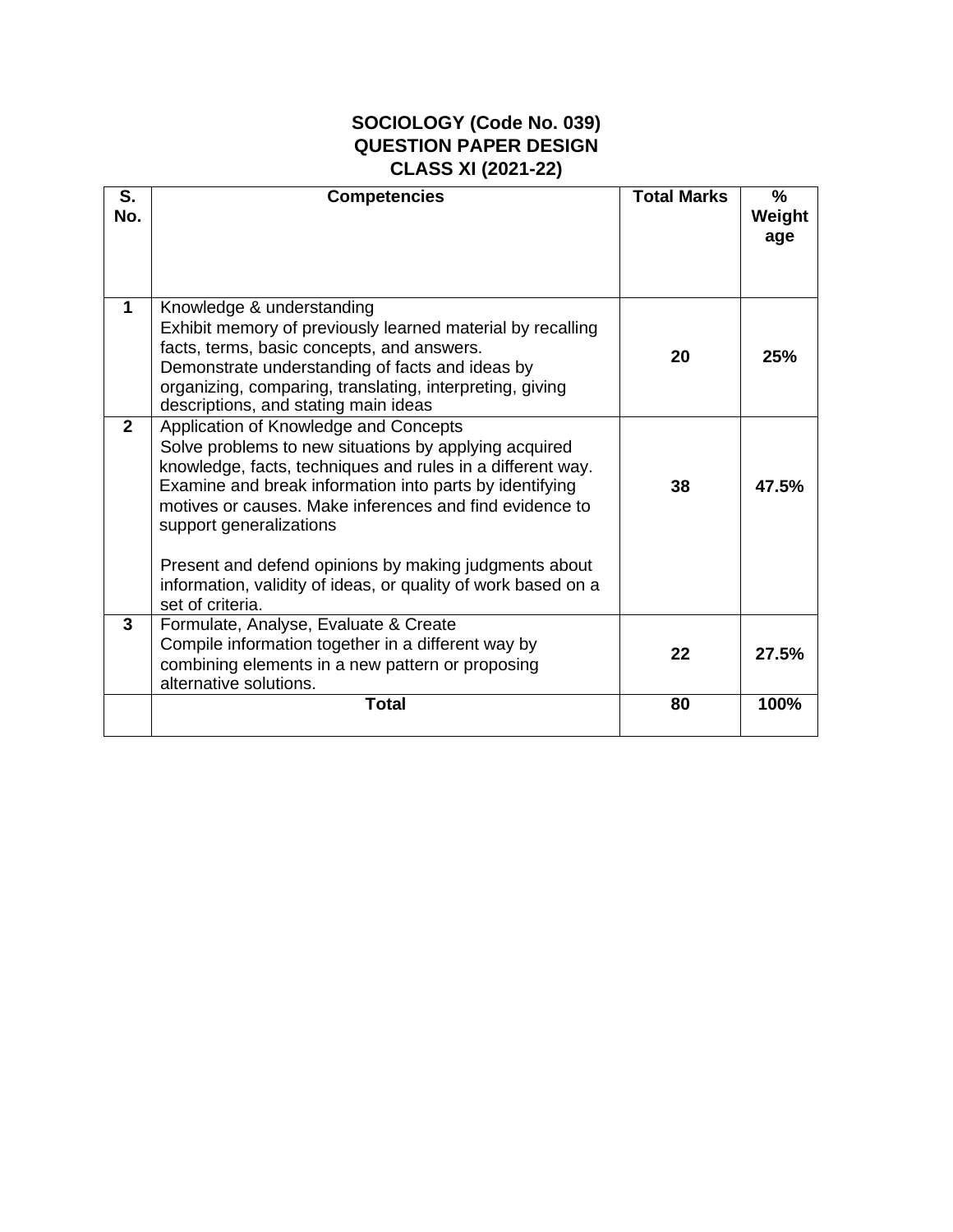### **SOCIOLOGY (Code No. 039) QUESTION PAPER DESIGN CLASS XI (2021-22)**

| S.<br>No.      | <b>Competencies</b>                                                                                                                                                                                                                                                                                           | <b>Total Marks</b> | $\frac{0}{0}$<br>Weight<br>age |
|----------------|---------------------------------------------------------------------------------------------------------------------------------------------------------------------------------------------------------------------------------------------------------------------------------------------------------------|--------------------|--------------------------------|
| $\mathbf{1}$   | Knowledge & understanding<br>Exhibit memory of previously learned material by recalling<br>facts, terms, basic concepts, and answers.<br>Demonstrate understanding of facts and ideas by<br>organizing, comparing, translating, interpreting, giving<br>descriptions, and stating main ideas                  | 20                 | 25%                            |
| $\overline{2}$ | Application of Knowledge and Concepts<br>Solve problems to new situations by applying acquired<br>knowledge, facts, techniques and rules in a different way.<br>Examine and break information into parts by identifying<br>motives or causes. Make inferences and find evidence to<br>support generalizations | 38                 | 47.5%                          |
|                | Present and defend opinions by making judgments about<br>information, validity of ideas, or quality of work based on a<br>set of criteria.                                                                                                                                                                    |                    |                                |
| 3              | Formulate, Analyse, Evaluate & Create<br>Compile information together in a different way by<br>combining elements in a new pattern or proposing<br>alternative solutions.                                                                                                                                     | 22                 | 27.5%                          |
|                | <b>Total</b>                                                                                                                                                                                                                                                                                                  | 80                 | 100%                           |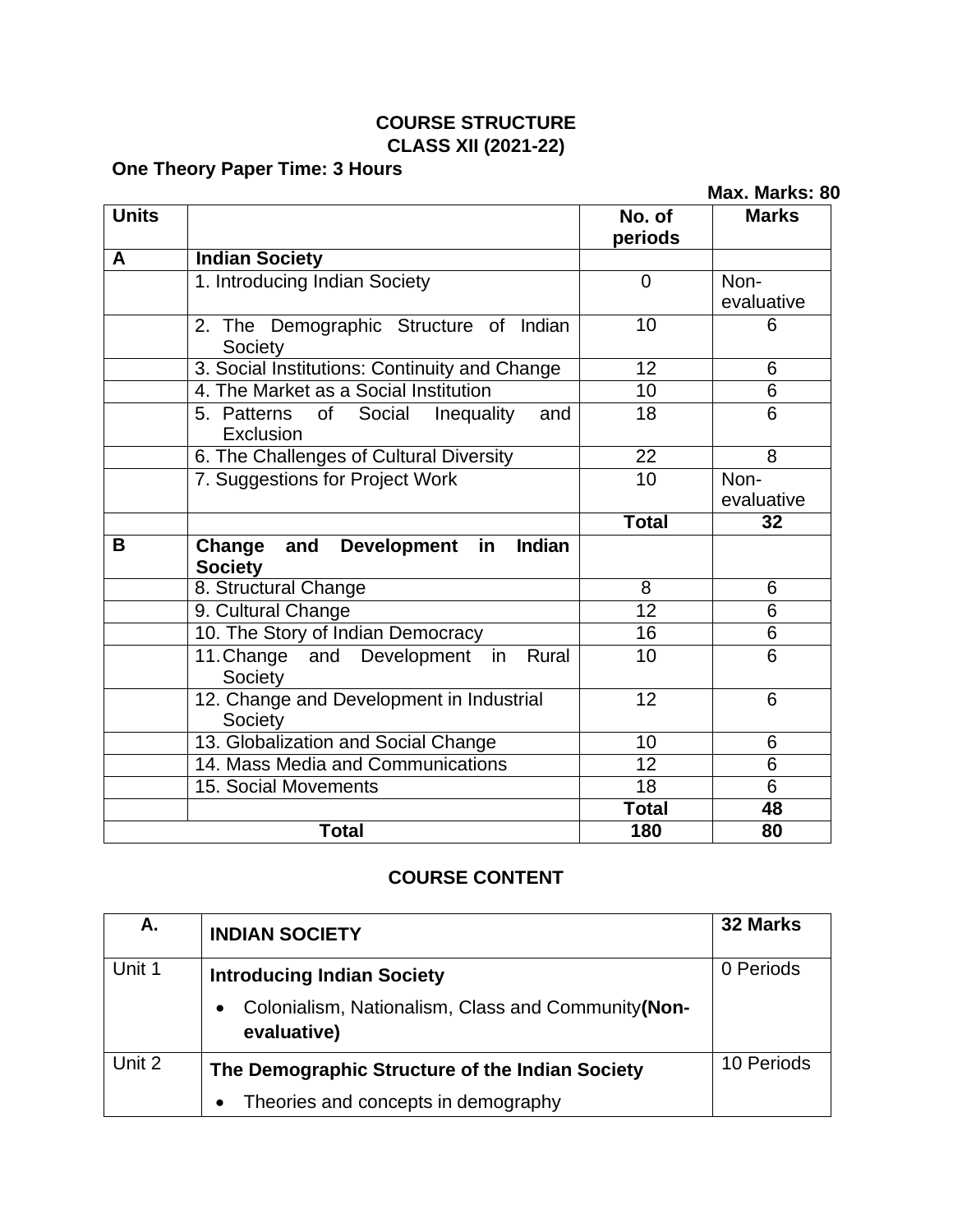# **COURSE STRUCTURE CLASS XII (2021-22)**

# **One Theory Paper Time: 3 Hours**

| One Theory Faper Time. J Hours<br>Max. Marks: 80 |                                                                               |                   |                    |
|--------------------------------------------------|-------------------------------------------------------------------------------|-------------------|--------------------|
| <b>Units</b>                                     |                                                                               | No. of<br>periods | <b>Marks</b>       |
| A                                                | <b>Indian Society</b>                                                         |                   |                    |
|                                                  | 1. Introducing Indian Society                                                 | $\overline{0}$    | Non-<br>evaluative |
|                                                  | 2. The Demographic Structure of Indian<br>Society                             | 10                | 6                  |
|                                                  | 3. Social Institutions: Continuity and Change                                 | $\overline{12}$   | 6                  |
|                                                  | 4. The Market as a Social Institution                                         | 10                | 6                  |
|                                                  | 5. Patterns<br>Social<br>and<br>of<br>Inequality<br>Exclusion                 | 18                | 6                  |
|                                                  | 6. The Challenges of Cultural Diversity                                       | $\overline{22}$   | $\overline{8}$     |
|                                                  | 7. Suggestions for Project Work                                               | 10                | Non-<br>evaluative |
|                                                  |                                                                               | <b>Total</b>      | 32                 |
| B                                                | Change<br>and<br><b>Development</b><br><b>Indian</b><br>in.<br><b>Society</b> |                   |                    |
|                                                  | 8. Structural Change                                                          | 8                 | 6                  |
|                                                  | 9. Cultural Change                                                            | $\overline{12}$   | 6                  |
|                                                  | 10. The Story of Indian Democracy                                             | 16                | 6                  |
|                                                  | 11. Change and Development in<br>Rural<br>Society                             | 10                | 6                  |
|                                                  | 12. Change and Development in Industrial<br>Society                           | 12                | 6                  |
|                                                  | 13. Globalization and Social Change                                           | 10                | 6                  |
|                                                  | 14. Mass Media and Communications                                             | $\overline{12}$   | $\overline{6}$     |
|                                                  | 15. Social Movements                                                          | 18                | 6                  |
|                                                  |                                                                               | <b>Total</b>      | 48                 |
|                                                  | <b>Total</b>                                                                  | 180               | 80                 |

# **COURSE CONTENT**

| Α.     | <b>INDIAN SOCIETY</b>                                             | 32 Marks   |
|--------|-------------------------------------------------------------------|------------|
| Unit 1 | <b>Introducing Indian Society</b>                                 | 0 Periods  |
|        | Colonialism, Nationalism, Class and Community(Non-<br>evaluative) |            |
| Unit 2 | The Demographic Structure of the Indian Society                   | 10 Periods |
|        | Theories and concepts in demography                               |            |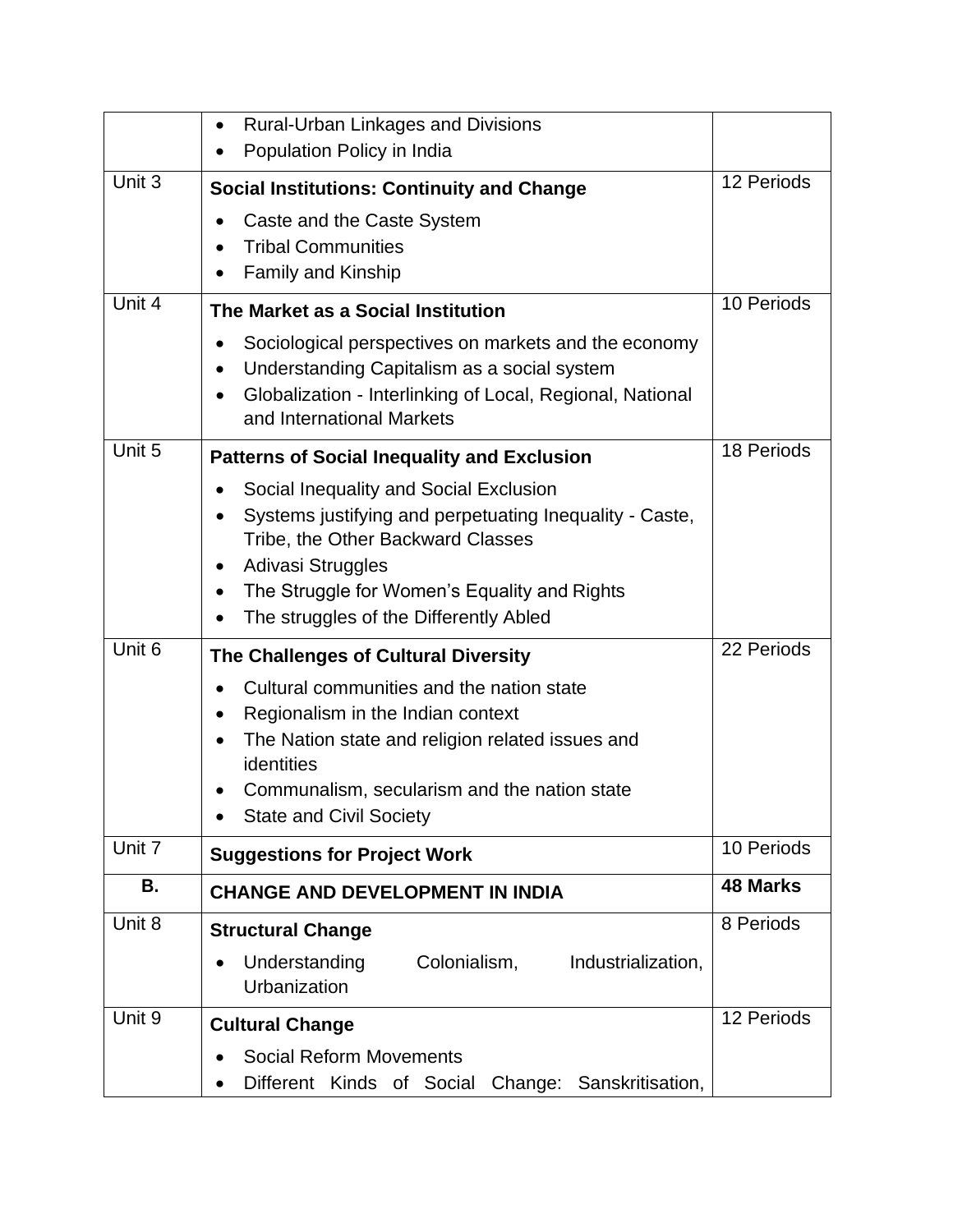|        | <b>Rural-Urban Linkages and Divisions</b><br>$\bullet$                                       |                 |
|--------|----------------------------------------------------------------------------------------------|-----------------|
|        | Population Policy in India                                                                   |                 |
| Unit 3 | <b>Social Institutions: Continuity and Change</b>                                            | 12 Periods      |
|        | Caste and the Caste System                                                                   |                 |
|        | <b>Tribal Communities</b>                                                                    |                 |
|        | <b>Family and Kinship</b>                                                                    |                 |
| Unit 4 | The Market as a Social Institution                                                           | 10 Periods      |
|        | Sociological perspectives on markets and the economy                                         |                 |
|        | Understanding Capitalism as a social system<br>$\bullet$                                     |                 |
|        | Globalization - Interlinking of Local, Regional, National<br>and International Markets       |                 |
| Unit 5 |                                                                                              | 18 Periods      |
|        | <b>Patterns of Social Inequality and Exclusion</b>                                           |                 |
|        | Social Inequality and Social Exclusion                                                       |                 |
|        | Systems justifying and perpetuating Inequality - Caste,<br>Tribe, the Other Backward Classes |                 |
|        | Adivasi Struggles                                                                            |                 |
|        | The Struggle for Women's Equality and Rights<br>٠                                            |                 |
|        | The struggles of the Differently Abled                                                       |                 |
| Unit 6 | The Challenges of Cultural Diversity                                                         | 22 Periods      |
|        | Cultural communities and the nation state                                                    |                 |
|        | Regionalism in the Indian context                                                            |                 |
|        | The Nation state and religion related issues and<br>identities                               |                 |
|        | Communalism, secularism and the nation state                                                 |                 |
|        | <b>State and Civil Society</b>                                                               |                 |
| Unit 7 | <b>Suggestions for Project Work</b>                                                          | 10 Periods      |
| В.     | <b>CHANGE AND DEVELOPMENT IN INDIA</b>                                                       | <b>48 Marks</b> |
| Unit 8 | <b>Structural Change</b>                                                                     | 8 Periods       |
|        | Understanding<br>Colonialism,<br>Industrialization,                                          |                 |
|        | Urbanization                                                                                 |                 |
| Unit 9 | <b>Cultural Change</b>                                                                       | 12 Periods      |
|        | <b>Social Reform Movements</b>                                                               |                 |
|        | Different Kinds of Social<br>Change: Sanskritisation,                                        |                 |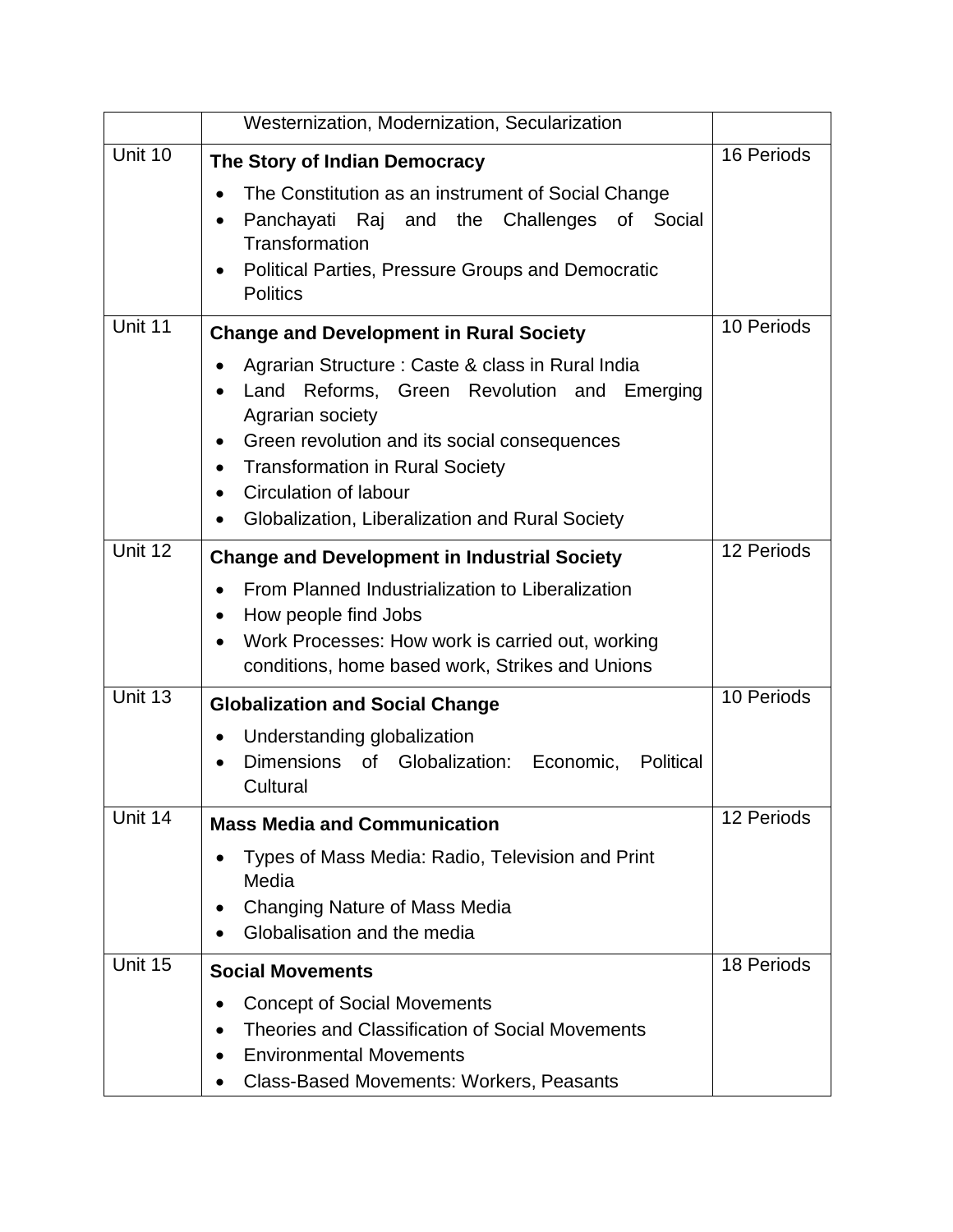|         | Westernization, Modernization, Secularization                                                                                                                                                                                                                      |            |
|---------|--------------------------------------------------------------------------------------------------------------------------------------------------------------------------------------------------------------------------------------------------------------------|------------|
| Unit 10 | The Story of Indian Democracy<br>The Constitution as an instrument of Social Change<br>Panchayati Raj and the Challenges of Social<br>Transformation<br><b>Political Parties, Pressure Groups and Democratic</b>                                                   | 16 Periods |
| Unit 11 | <b>Politics</b><br><b>Change and Development in Rural Society</b><br>Agrarian Structure: Caste & class in Rural India                                                                                                                                              | 10 Periods |
|         | Reforms, Green Revolution and Emerging<br>Land<br>Agrarian society<br>Green revolution and its social consequences<br>$\bullet$<br><b>Transformation in Rural Society</b><br>$\bullet$<br>Circulation of labour<br>Globalization, Liberalization and Rural Society |            |
| Unit 12 | <b>Change and Development in Industrial Society</b><br>From Planned Industrialization to Liberalization<br>How people find Jobs<br>٠<br>Work Processes: How work is carried out, working<br>conditions, home based work, Strikes and Unions                        | 12 Periods |
| Unit 13 | <b>Globalization and Social Change</b><br>Understanding globalization<br>Dimensions of Globalization: Economic,<br>Political<br>Cultural                                                                                                                           | 10 Periods |
| Unit 14 | <b>Mass Media and Communication</b><br>Types of Mass Media: Radio, Television and Print<br>Media<br>Changing Nature of Mass Media<br>Globalisation and the media                                                                                                   | 12 Periods |
| Unit 15 | <b>Social Movements</b><br><b>Concept of Social Movements</b><br>Theories and Classification of Social Movements<br><b>Environmental Movements</b><br><b>Class-Based Movements: Workers, Peasants</b>                                                              | 18 Periods |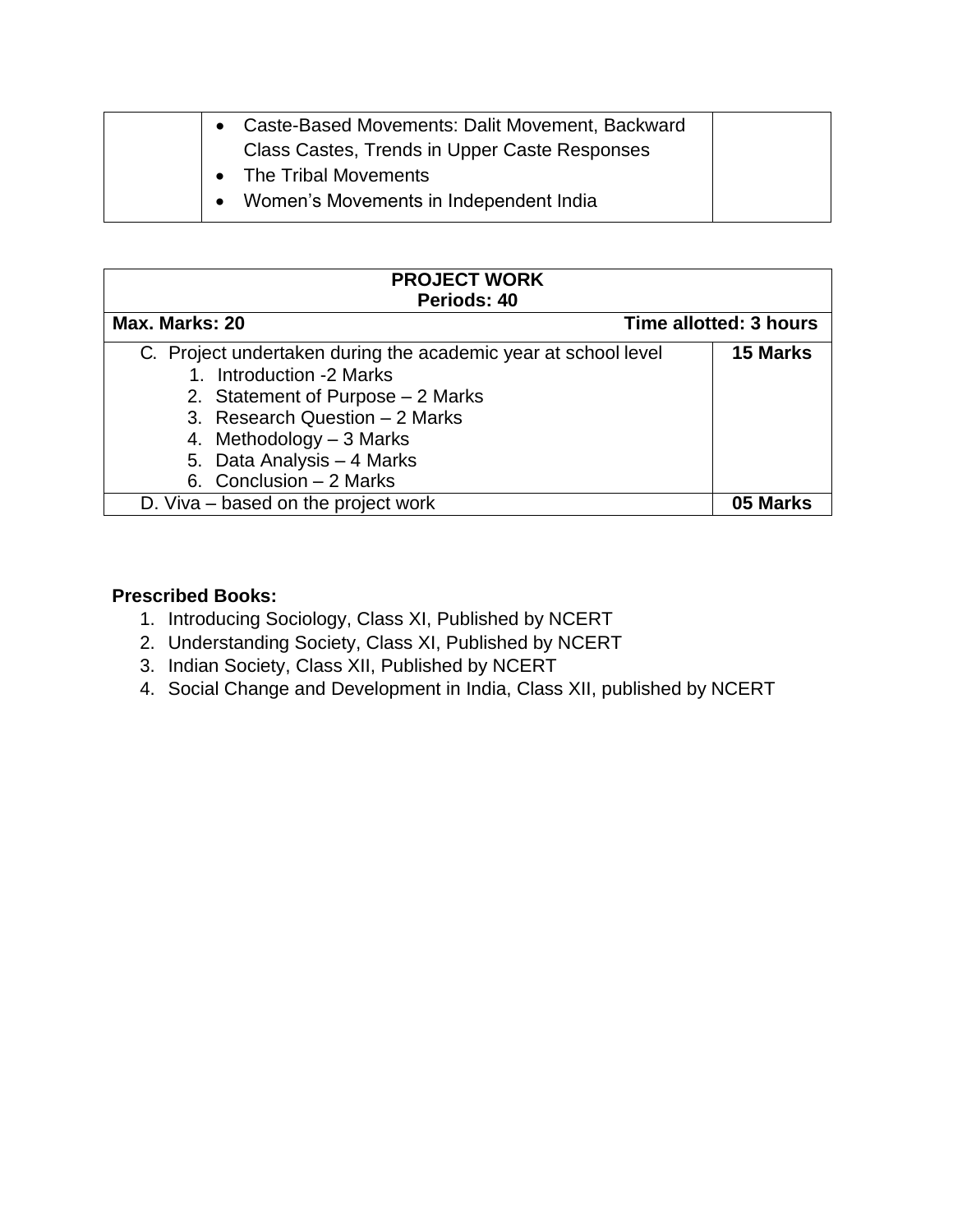| Caste-Based Movements: Dalit Movement, Backward |
|-------------------------------------------------|
| Class Castes, Trends in Upper Caste Responses   |
| • The Tribal Movements                          |
| Women's Movements in Independent India          |

| <b>PROJECT WORK</b>                                                                        |                        |
|--------------------------------------------------------------------------------------------|------------------------|
| Periods: 40                                                                                |                        |
| Max. Marks: 20                                                                             | Time allotted: 3 hours |
| C. Project undertaken during the academic year at school level<br>1. Introduction -2 Marks | 15 Marks               |
| 2. Statement of Purpose – 2 Marks                                                          |                        |
| 3. Research Question - 2 Marks                                                             |                        |
| 4. Methodology $-3$ Marks                                                                  |                        |
| 5. Data Analysis - 4 Marks                                                                 |                        |
| 6. Conclusion $-2$ Marks                                                                   |                        |
| D. Viva – based on the project work                                                        | 05 Marks               |

#### **Prescribed Books:**

- 1. Introducing Sociology, Class XI, Published by NCERT
- 2. Understanding Society, Class XI, Published by NCERT
- 3. Indian Society, Class XII, Published by NCERT
- 4. Social Change and Development in India, Class XII, published by NCERT